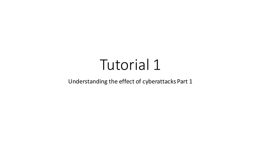# Tutorial 1

Understanding the effect of cyberattacks Part 1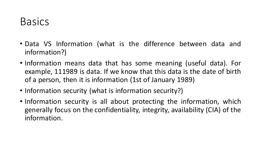#### **Basics**

- Data VS Information (what is the difference between data and information?)
- Information means data that has some meaning (useful data). For example, 111989 is data. If we know that this data is the date of birth of a person, then it is information (1st of January 1989)
- Information security (what is information security?)
- Information security is all about protecting the information, which generally focus on the confidentiality, integrity, availability (CIA) of the information.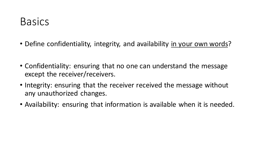- Define confidentiality, integrity, and availability in your own words?
- Confidentiality: ensuring that no one can understand the message except the receiver/receivers.
- Integrity: ensuring that the receiver received the message without any unauthorized changes.
- Availability: ensuring that information is available when it is needed.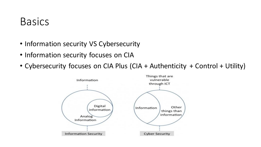### Basics

- Information security VS Cybersecurity
- Information security focuses on CIA
- Cybersecurity focuses on CIA Plus (CIA + Authenticity + Control + Utility)

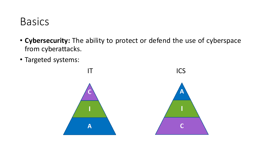### Basics

- **Cybersecurity:** The ability to protect or defend the use of cyberspace from cyberattacks.
- Targeted systems:

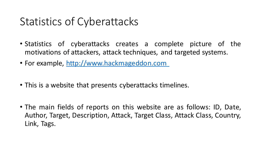### Statistics of Cyberattacks

- Statistics of cyberattacks creates a complete picture of the motivations of attackers, attack techniques, and targeted systems.
- For example, [http://www.hackmageddon.com](http://www.hackmageddon.com )
- This is a website that presents cyberattacks timelines.
- The main fields of reports on this website are as follows: ID, Date, Author, Target, Description, Attack, Target Class, Attack Class, Country, Link, Tags.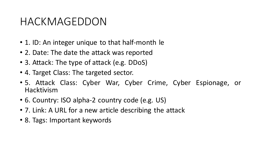#### HACKMAGEDDON

- 1. ID: An integer unique to that half-month le
- 2. Date: The date the attack was reported
- 3. Attack: The type of attack (e.g. DDoS)
- 4. Target Class: The targeted sector.
- 5. Attack Class: Cyber War, Cyber Crime, Cyber Espionage, or Hacktivism
- 6. Country: ISO alpha-2 country code (e.g. US)
- 7. Link: A URL for a new article describing the attack
- 8. Tags: Important keywords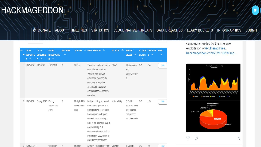#### **HACKMAGEDDON**

 $\n *D*ONATE\n$ ABOUT TIMELINES STATISTICS CLOUD-NATIVE THREATS DATA BREACHES / LEAKY BUCKETS **INFOGRAPHICS SUBMIT** 

| ID | <b>DATE</b><br><b>REPORTE</b><br>A<br>D | <b>DATE</b><br><b>OCCURRE</b><br>▲<br>D | <b>DATE</b><br><b>DISCOVERE</b><br>$D^4$ | <b>AUTHOR</b><br>▲         | <b>TARGET</b><br>́                   | <b>DESCRIPTION</b><br>▲                                                                                                                                                                                                                                                        | <b>ATTACK</b><br>▲ | <b>TARGET</b><br>CLASS <sup>A</sup>                                         | <b>CLASS</b><br>▲ | <b>ATTACK COUNTR</b><br>Y<br>▲ | <b>LINK</b><br>▲ |
|----|-----------------------------------------|-----------------------------------------|------------------------------------------|----------------------------|--------------------------------------|--------------------------------------------------------------------------------------------------------------------------------------------------------------------------------------------------------------------------------------------------------------------------------|--------------------|-----------------------------------------------------------------------------|-------------------|--------------------------------|------------------|
|    | 16/09/2021                              | 16/9/2021                               | 16/9/2021                                | $\boldsymbol{\gamma}$      | VolP.ms                              | Threat actors target voice-<br>over-Internet provider<br>VolP.ms with a DDoS<br>attack and extorting the<br>company to stop the<br>assault that's severely<br>disrupting the company's<br>operation.                                                                           | <b>DDoS</b>        | J Information<br>and<br>communicatio<br>$\eta$                              | CC                | CA                             | Link             |
|    |                                         | 2 16/09/2021 During 2020 During         | September<br>2021                        | ?                          | Multiple U.S.<br>government<br>sites | Multiple U.S. government<br>sites using .gov and .mil<br>domains have been seen<br>hosting porn and spam<br>content, such as Viagra<br>ads, in the last year, due to<br>a vulnerability in a<br>common software product<br>provided by Laserfiche, a<br>government contractor. | Vulnerability      | O Public<br>administration<br>and defence,<br>compulsory<br>social security | CC                | US                             | Link             |
|    | 3 16/09/2021 -                          |                                         | "Recently"                               | $\boldsymbol{\mathcal{P}}$ | Multiple                             | Security researchers from                                                                                                                                                                                                                                                      | Malware            | Y Multiple                                                                  | CC                | >1                             | <b>Link</b>      |

campaigns fuelled by the massive exploitation of #vulnerabilities... hackmageddon.com/2021/10/28/sep...

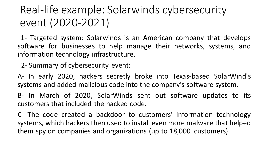## Real-life example: Solarwinds cybersecurity event (2020-2021)

1- Targeted system: Solarwinds is an American company that develops software for businesses to help manage their networks, systems, and information technology infrastructure.

2- Summary of cybersecurity event:

A- In early 2020, hackers secretly broke into Texas-based SolarWind's systems and added malicious code into the company's software system.

B- In March of 2020, SolarWinds sent out software updates to its customers that included the hacked code.

C- The code created a backdoor to customers' information technology systems, which hackers then used to install even more malware that helped them spy on companies and organizations (up to 18,000 customers)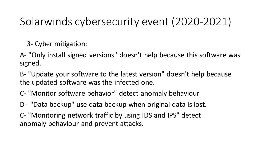## Solarwinds cybersecurity event (2020-2021)

3- Cyber mitigation:

A- "Only install signed versions" doesn't help because this software was signed.

B- "Update your software to the latest version" doesn't help because the updated software was the infected one.

- C- "Monitor software behavior" detect anomaly behaviour
- D- "Data backup" use data backup when original data is lost.
- C- "Monitoring network traffic by using IDS and IPS" detect anomaly behaviour and prevent attacks.